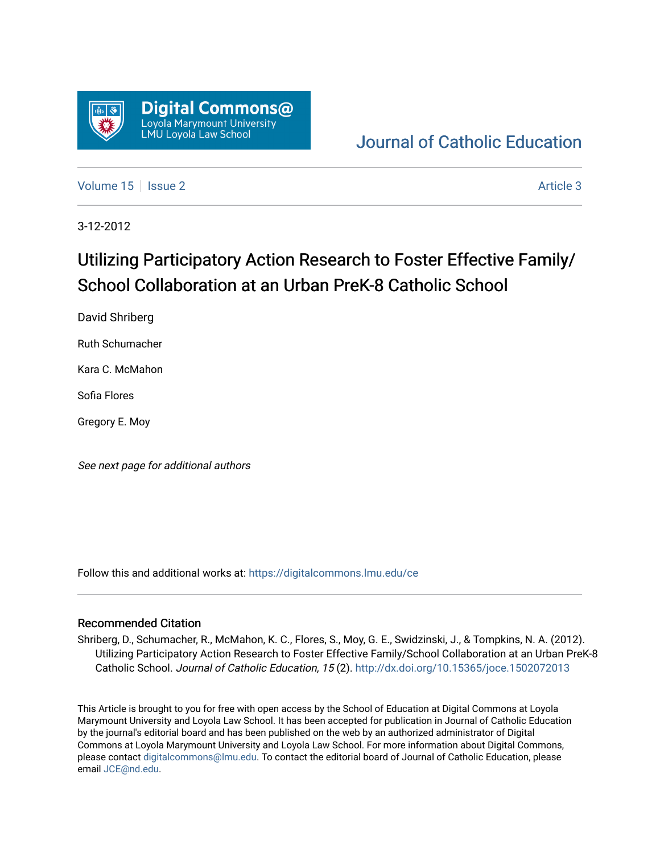

## [Journal of Catholic Education](https://digitalcommons.lmu.edu/ce)

[Volume 15](https://digitalcommons.lmu.edu/ce/vol15) | [Issue 2](https://digitalcommons.lmu.edu/ce/vol15/iss2) Article 3

3-12-2012

# Utilizing Participatory Action Research to Foster Effective Family/ School Collaboration at an Urban PreK-8 Catholic School

David Shriberg

Ruth Schumacher

Kara C. McMahon

Sofia Flores

Gregory E. Moy

See next page for additional authors

Follow this and additional works at: [https://digitalcommons.lmu.edu/ce](https://digitalcommons.lmu.edu/ce?utm_source=digitalcommons.lmu.edu%2Fce%2Fvol15%2Fiss2%2F3&utm_medium=PDF&utm_campaign=PDFCoverPages)

#### Recommended Citation

Shriberg, D., Schumacher, R., McMahon, K. C., Flores, S., Moy, G. E., Swidzinski, J., & Tompkins, N. A. (2012). Utilizing Participatory Action Research to Foster Effective Family/School Collaboration at an Urban PreK-8 Catholic School. Journal of Catholic Education, 15 (2). <http://dx.doi.org/10.15365/joce.1502072013>

This Article is brought to you for free with open access by the School of Education at Digital Commons at Loyola Marymount University and Loyola Law School. It has been accepted for publication in Journal of Catholic Education by the journal's editorial board and has been published on the web by an authorized administrator of Digital Commons at Loyola Marymount University and Loyola Law School. For more information about Digital Commons, please contact [digitalcommons@lmu.edu](mailto:digitalcommons@lmu.edu). To contact the editorial board of Journal of Catholic Education, please email [JCE@nd.edu](mailto:JCE@nd.edu).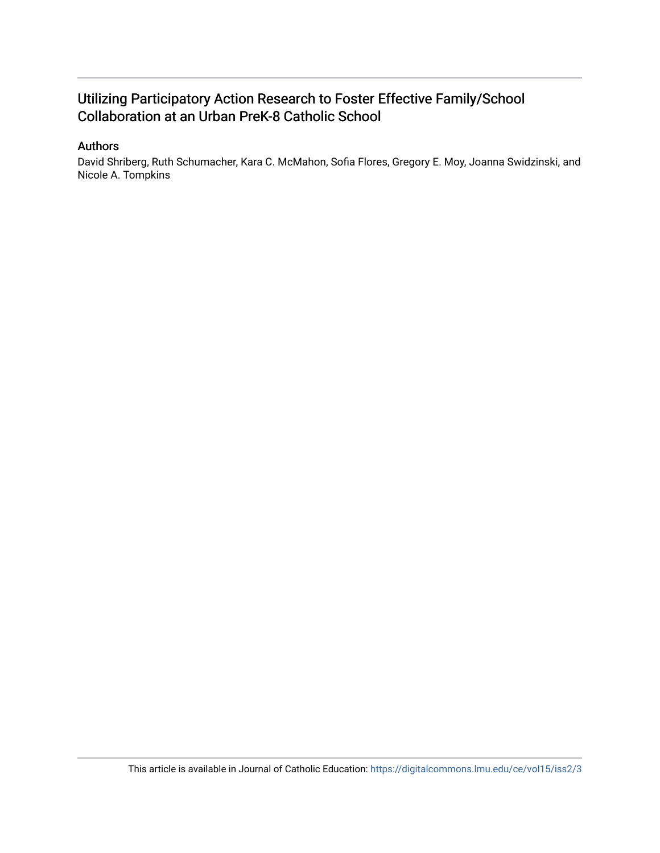## Utilizing Participatory Action Research to Foster Effective Family/School Collaboration at an Urban PreK-8 Catholic School

## Authors

David Shriberg, Ruth Schumacher, Kara C. McMahon, Sofia Flores, Gregory E. Moy, Joanna Swidzinski, and Nicole A. Tompkins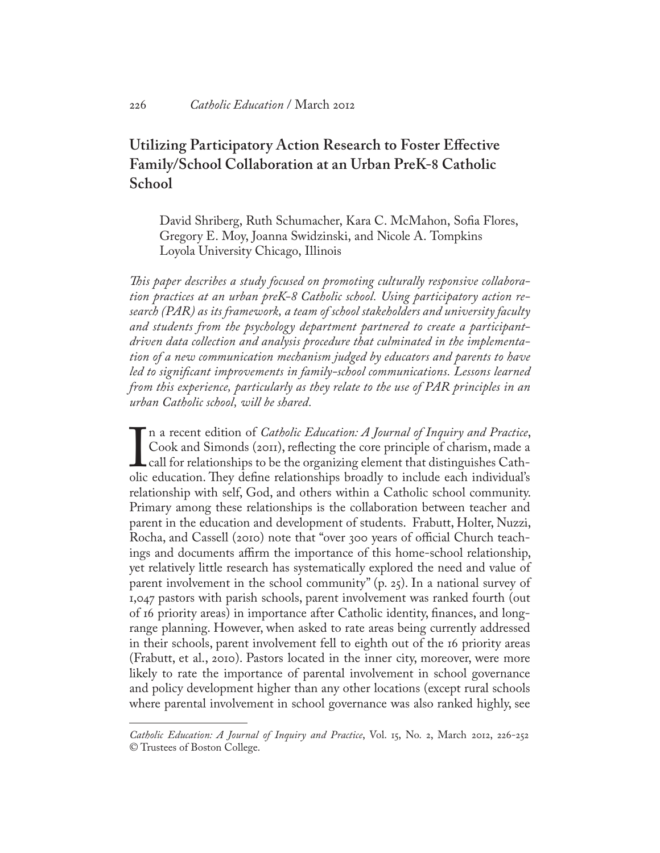## **Utilizing Participatory Action Research to Foster Effective Family/School Collaboration at an Urban PreK-8 Catholic School**

David Shriberg, Ruth Schumacher, Kara C. McMahon, Sofia Flores, Gregory E. Moy, Joanna Swidzinski, and Nicole A. Tompkins Loyola University Chicago, Illinois

*This paper describes a study focused on promoting culturally responsive collaboration practices at an urban preK-8 Catholic school. Using participatory action research (PAR) as its framework, a team of school stakeholders and university faculty and students from the psychology department partnered to create a participantdriven data collection and analysis procedure that culminated in the implementation of a new communication mechanism judged by educators and parents to have*  led to significant improvements in family-school communications. Lessons learned *from this experience, particularly as they relate to the use of PAR principles in an urban Catholic school, will be shared.*

 $\prod_{\text{olic}}$ n a recent edition of *Catholic Education: A Journal of Inquiry and Practice*, Cook and Simonds (2011), reflecting the core principle of charism, made a call for relationships to be the organizing element that distinguishes Catholic education. They define relationships broadly to include each individual's relationship with self, God, and others within a Catholic school community. Primary among these relationships is the collaboration between teacher and parent in the education and development of students. Frabutt, Holter, Nuzzi, Rocha, and Cassell (2010) note that "over 300 years of official Church teachings and documents affirm the importance of this home-school relationship, yet relatively little research has systematically explored the need and value of parent involvement in the school community" (p. 25). In a national survey of 1,047 pastors with parish schools, parent involvement was ranked fourth (out of 16 priority areas) in importance after Catholic identity, finances, and longrange planning. However, when asked to rate areas being currently addressed in their schools, parent involvement fell to eighth out of the 16 priority areas (Frabutt, et al., 2010). Pastors located in the inner city, moreover, were more likely to rate the importance of parental involvement in school governance and policy development higher than any other locations (except rural schools where parental involvement in school governance was also ranked highly, see

*Catholic Education: A Journal of Inquiry and Practice*, Vol. 15, No. 2, March 2012, 226-252 © Trustees of Boston College.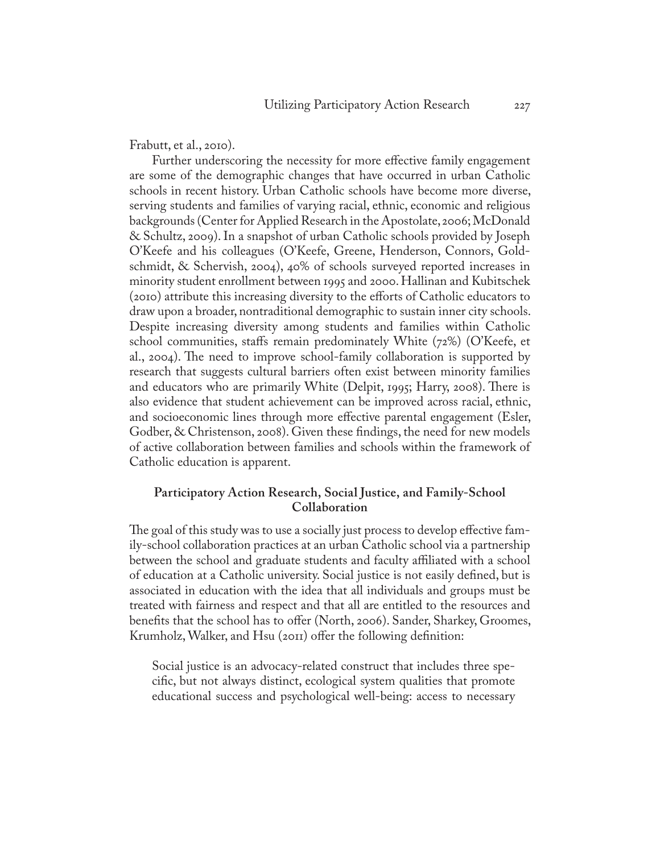Frabutt, et al., 2010).

Further underscoring the necessity for more effective family engagement are some of the demographic changes that have occurred in urban Catholic schools in recent history. Urban Catholic schools have become more diverse, serving students and families of varying racial, ethnic, economic and religious backgrounds (Center for Applied Research in the Apostolate, 2006; McDonald & Schultz, 2009). In a snapshot of urban Catholic schools provided by Joseph O'Keefe and his colleagues (O'Keefe, Greene, Henderson, Connors, Goldschmidt, & Schervish, 2004), 40% of schools surveyed reported increases in minority student enrollment between 1995 and 2000. Hallinan and Kubitschek (2010) attribute this increasing diversity to the efforts of Catholic educators to draw upon a broader, nontraditional demographic to sustain inner city schools. Despite increasing diversity among students and families within Catholic school communities, staffs remain predominately White (72%) (O'Keefe, et al., 2004). The need to improve school-family collaboration is supported by research that suggests cultural barriers often exist between minority families and educators who are primarily White (Delpit, 1995; Harry, 2008). There is also evidence that student achievement can be improved across racial, ethnic, and socioeconomic lines through more effective parental engagement (Esler, Godber, & Christenson, 2008). Given these findings, the need for new models of active collaboration between families and schools within the framework of Catholic education is apparent.

## **Participatory Action Research, Social Justice, and Family-School Collaboration**

The goal of this study was to use a socially just process to develop effective family-school collaboration practices at an urban Catholic school via a partnership between the school and graduate students and faculty affiliated with a school of education at a Catholic university. Social justice is not easily defined, but is associated in education with the idea that all individuals and groups must be treated with fairness and respect and that all are entitled to the resources and benefits that the school has to offer (North, 2006). Sander, Sharkey, Groomes, Krumholz, Walker, and Hsu (2011) offer the following definition:

Social justice is an advocacy-related construct that includes three specific, but not always distinct, ecological system qualities that promote educational success and psychological well-being: access to necessary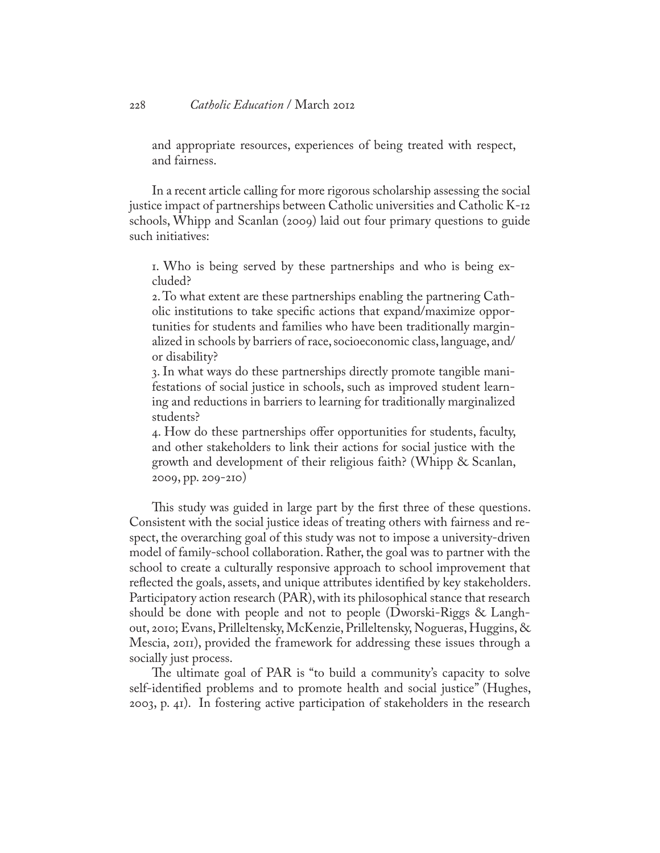and appropriate resources, experiences of being treated with respect, and fairness.

In a recent article calling for more rigorous scholarship assessing the social justice impact of partnerships between Catholic universities and Catholic K-12 schools, Whipp and Scanlan (2009) laid out four primary questions to guide such initiatives:

1. Who is being served by these partnerships and who is being excluded?

2. To what extent are these partnerships enabling the partnering Catholic institutions to take specific actions that expand/maximize opportunities for students and families who have been traditionally marginalized in schools by barriers of race, socioeconomic class, language, and/ or disability?

3. In what ways do these partnerships directly promote tangible manifestations of social justice in schools, such as improved student learning and reductions in barriers to learning for traditionally marginalized students?

4. How do these partnerships offer opportunities for students, faculty, and other stakeholders to link their actions for social justice with the growth and development of their religious faith? (Whipp & Scanlan, 2009, pp. 209-210)

This study was guided in large part by the first three of these questions. Consistent with the social justice ideas of treating others with fairness and respect, the overarching goal of this study was not to impose a university-driven model of family-school collaboration. Rather, the goal was to partner with the school to create a culturally responsive approach to school improvement that reflected the goals, assets, and unique attributes identified by key stakeholders. Participatory action research (PAR), with its philosophical stance that research should be done with people and not to people (Dworski-Riggs & Langhout, 2010; Evans, Prilleltensky, McKenzie, Prilleltensky, Nogueras, Huggins, & Mescia, 2011), provided the framework for addressing these issues through a socially just process.

The ultimate goal of PAR is "to build a community's capacity to solve self-identified problems and to promote health and social justice" (Hughes, 2003, p. 41). In fostering active participation of stakeholders in the research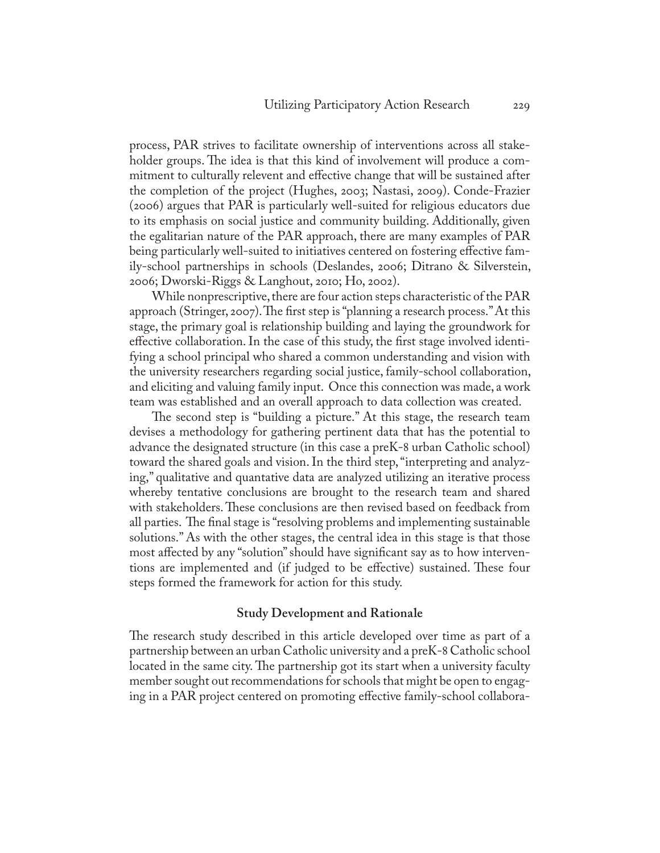process, PAR strives to facilitate ownership of interventions across all stakeholder groups. The idea is that this kind of involvement will produce a commitment to culturally relevent and effective change that will be sustained after the completion of the project (Hughes, 2003; Nastasi, 2009). Conde-Frazier (2006) argues that PAR is particularly well-suited for religious educators due to its emphasis on social justice and community building. Additionally, given the egalitarian nature of the PAR approach, there are many examples of PAR being particularly well-suited to initiatives centered on fostering effective family-school partnerships in schools (Deslandes, 2006; Ditrano & Silverstein, 2006; Dworski-Riggs & Langhout, 2010; Ho, 2002).

While nonprescriptive, there are four action steps characteristic of the PAR approach (Stringer, 2007). The first step is "planning a research process." At this stage, the primary goal is relationship building and laying the groundwork for effective collaboration. In the case of this study, the first stage involved identifying a school principal who shared a common understanding and vision with the university researchers regarding social justice, family-school collaboration, and eliciting and valuing family input. Once this connection was made, a work team was established and an overall approach to data collection was created.

The second step is "building a picture." At this stage, the research team devises a methodology for gathering pertinent data that has the potential to advance the designated structure (in this case a preK-8 urban Catholic school) toward the shared goals and vision. In the third step, "interpreting and analyzing," qualitative and quantative data are analyzed utilizing an iterative process whereby tentative conclusions are brought to the research team and shared with stakeholders. These conclusions are then revised based on feedback from all parties. The final stage is "resolving problems and implementing sustainable solutions." As with the other stages, the central idea in this stage is that those most affected by any "solution" should have significant say as to how interventions are implemented and (if judged to be effective) sustained. These four steps formed the framework for action for this study.

#### **Study Development and Rationale**

The research study described in this article developed over time as part of a partnership between an urban Catholic university and a preK-8 Catholic school located in the same city. The partnership got its start when a university faculty member sought out recommendations for schools that might be open to engaging in a PAR project centered on promoting effective family-school collabora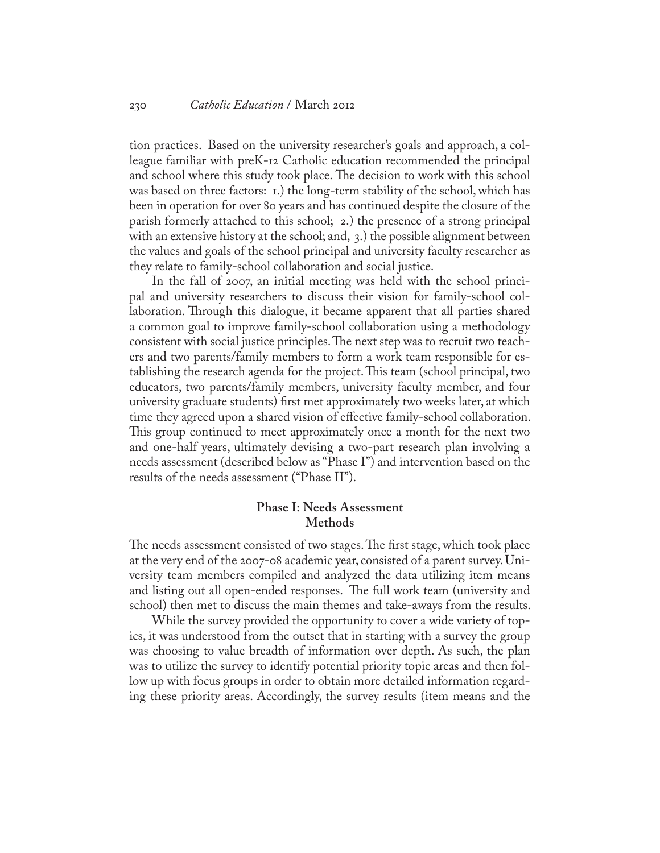tion practices. Based on the university researcher's goals and approach, a colleague familiar with preK-12 Catholic education recommended the principal and school where this study took place. The decision to work with this school was based on three factors: 1.) the long-term stability of the school, which has been in operation for over 80 years and has continued despite the closure of the parish formerly attached to this school; 2.) the presence of a strong principal with an extensive history at the school; and, 3.) the possible alignment between the values and goals of the school principal and university faculty researcher as they relate to family-school collaboration and social justice.

In the fall of 2007, an initial meeting was held with the school principal and university researchers to discuss their vision for family-school collaboration. Through this dialogue, it became apparent that all parties shared a common goal to improve family-school collaboration using a methodology consistent with social justice principles. The next step was to recruit two teachers and two parents/family members to form a work team responsible for establishing the research agenda for the project. This team (school principal, two educators, two parents/family members, university faculty member, and four university graduate students) first met approximately two weeks later, at which time they agreed upon a shared vision of effective family-school collaboration. This group continued to meet approximately once a month for the next two and one-half years, ultimately devising a two-part research plan involving a needs assessment (described below as "Phase I") and intervention based on the results of the needs assessment ("Phase II").

## **Phase I: Needs Assessment Methods**

The needs assessment consisted of two stages. The first stage, which took place at the very end of the 2007-08 academic year, consisted of a parent survey. University team members compiled and analyzed the data utilizing item means and listing out all open-ended responses. The full work team (university and school) then met to discuss the main themes and take-aways from the results.

While the survey provided the opportunity to cover a wide variety of topics, it was understood from the outset that in starting with a survey the group was choosing to value breadth of information over depth. As such, the plan was to utilize the survey to identify potential priority topic areas and then follow up with focus groups in order to obtain more detailed information regarding these priority areas. Accordingly, the survey results (item means and the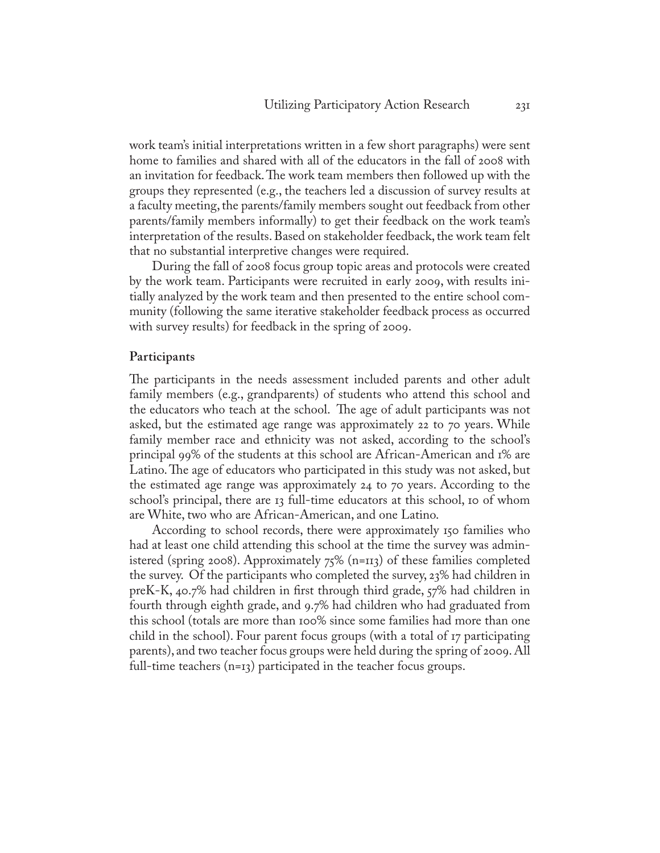work team's initial interpretations written in a few short paragraphs) were sent home to families and shared with all of the educators in the fall of 2008 with an invitation for feedback. The work team members then followed up with the groups they represented (e.g., the teachers led a discussion of survey results at a faculty meeting, the parents/family members sought out feedback from other parents/family members informally) to get their feedback on the work team's interpretation of the results. Based on stakeholder feedback, the work team felt that no substantial interpretive changes were required.

During the fall of 2008 focus group topic areas and protocols were created by the work team. Participants were recruited in early 2009, with results initially analyzed by the work team and then presented to the entire school community (following the same iterative stakeholder feedback process as occurred with survey results) for feedback in the spring of 2009.

#### **Participants**

The participants in the needs assessment included parents and other adult family members (e.g., grandparents) of students who attend this school and the educators who teach at the school. The age of adult participants was not asked, but the estimated age range was approximately 22 to 70 years. While family member race and ethnicity was not asked, according to the school's principal 99% of the students at this school are African-American and 1% are Latino. The age of educators who participated in this study was not asked, but the estimated age range was approximately 24 to 70 years. According to the school's principal, there are 13 full-time educators at this school, 10 of whom are White, two who are African-American, and one Latino.

According to school records, there were approximately 150 families who had at least one child attending this school at the time the survey was administered (spring 2008). Approximately 75% (n=113) of these families completed the survey. Of the participants who completed the survey, 23% had children in preK-K, 40.7% had children in first through third grade, 57% had children in fourth through eighth grade, and 9.7% had children who had graduated from this school (totals are more than 100% since some families had more than one child in the school). Four parent focus groups (with a total of 17 participating parents), and two teacher focus groups were held during the spring of 2009. All full-time teachers (n=13) participated in the teacher focus groups.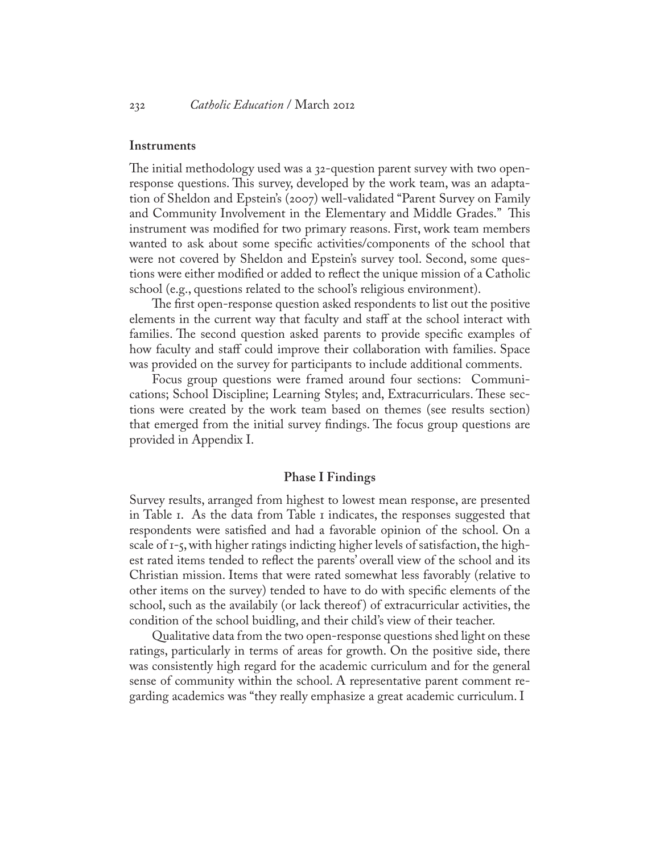#### **Instruments**

The initial methodology used was a 32-question parent survey with two openresponse questions. This survey, developed by the work team, was an adaptation of Sheldon and Epstein's (2007) well-validated "Parent Survey on Family and Community Involvement in the Elementary and Middle Grades." This instrument was modified for two primary reasons. First, work team members wanted to ask about some specific activities/components of the school that were not covered by Sheldon and Epstein's survey tool. Second, some questions were either modified or added to reflect the unique mission of a Catholic school (e.g., questions related to the school's religious environment).

The first open-response question asked respondents to list out the positive elements in the current way that faculty and staff at the school interact with families. The second question asked parents to provide specific examples of how faculty and staff could improve their collaboration with families. Space was provided on the survey for participants to include additional comments.

Focus group questions were framed around four sections: Communications; School Discipline; Learning Styles; and, Extracurriculars. These sections were created by the work team based on themes (see results section) that emerged from the initial survey findings. The focus group questions are provided in Appendix I.

#### **Phase I Findings**

Survey results, arranged from highest to lowest mean response, are presented in Table 1. As the data from Table 1 indicates, the responses suggested that respondents were satisfied and had a favorable opinion of the school. On a scale of 1-5, with higher ratings indicting higher levels of satisfaction, the highest rated items tended to reflect the parents' overall view of the school and its Christian mission. Items that were rated somewhat less favorably (relative to other items on the survey) tended to have to do with specific elements of the school, such as the availabily (or lack thereof ) of extracurricular activities, the condition of the school buidling, and their child's view of their teacher.

Qualitative data from the two open-response questions shed light on these ratings, particularly in terms of areas for growth. On the positive side, there was consistently high regard for the academic curriculum and for the general sense of community within the school. A representative parent comment regarding academics was "they really emphasize a great academic curriculum. I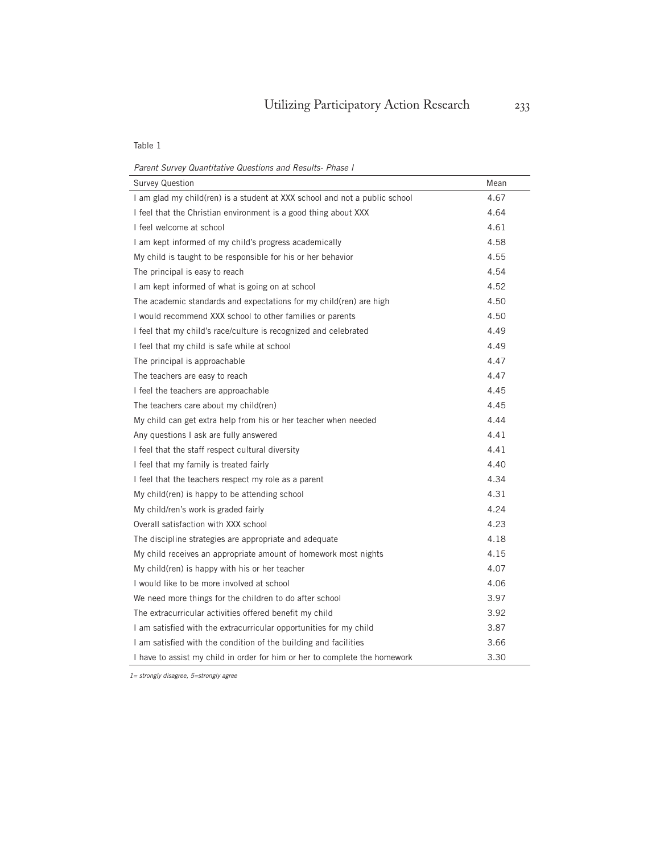Table 1

*Parent Survey Quantitative Questions and Results- Phase I*

| <b>Survey Question</b>                                                     | Mean |
|----------------------------------------------------------------------------|------|
| I am glad my child(ren) is a student at XXX school and not a public school | 4.67 |
| I feel that the Christian environment is a good thing about XXX            | 4.64 |
| I feel welcome at school                                                   | 4.61 |
| I am kept informed of my child's progress academically                     | 4.58 |
| My child is taught to be responsible for his or her behavior               | 4.55 |
| The principal is easy to reach                                             | 4.54 |
| I am kept informed of what is going on at school                           | 4.52 |
| The academic standards and expectations for my child(ren) are high         | 4.50 |
| I would recommend XXX school to other families or parents                  | 4.50 |
| I feel that my child's race/culture is recognized and celebrated           | 4.49 |
| I feel that my child is safe while at school                               | 4.49 |
| The principal is approachable                                              | 4.47 |
| The teachers are easy to reach                                             | 4.47 |
| I feel the teachers are approachable                                       | 4.45 |
| The teachers care about my child(ren)                                      | 4.45 |
| My child can get extra help from his or her teacher when needed            | 4.44 |
| Any questions I ask are fully answered                                     | 4.41 |
| I feel that the staff respect cultural diversity                           | 4.41 |
| I feel that my family is treated fairly                                    | 4.40 |
| I feel that the teachers respect my role as a parent                       | 4.34 |
| My child(ren) is happy to be attending school                              | 4.31 |
| My child/ren's work is graded fairly                                       | 4.24 |
| Overall satisfaction with XXX school                                       | 4.23 |
| The discipline strategies are appropriate and adequate                     | 4.18 |
| My child receives an appropriate amount of homework most nights            | 4.15 |
| My child(ren) is happy with his or her teacher                             | 4.07 |
| I would like to be more involved at school                                 | 4.06 |
| We need more things for the children to do after school                    | 3.97 |
| The extracurricular activities offered benefit my child                    | 3.92 |
| I am satisfied with the extracurricular opportunities for my child         | 3.87 |
| I am satisfied with the condition of the building and facilities           | 3.66 |
| I have to assist my child in order for him or her to complete the homework | 3.30 |

*1= strongly disagree, 5=strongly agree*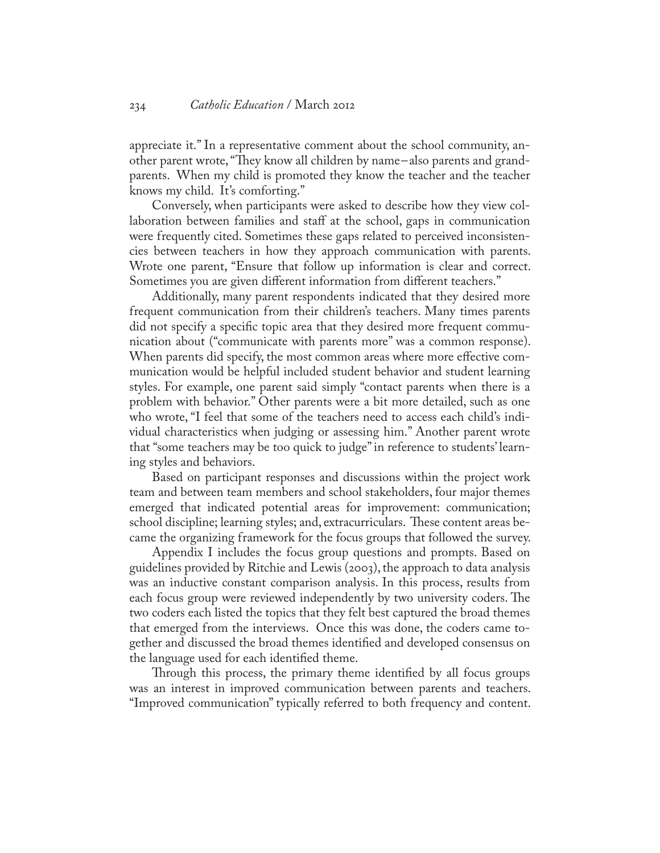appreciate it." In a representative comment about the school community, another parent wrote, "They know all children by name-also parents and grandparents. When my child is promoted they know the teacher and the teacher knows my child. It's comforting."

Conversely, when participants were asked to describe how they view collaboration between families and staff at the school, gaps in communication were frequently cited. Sometimes these gaps related to perceived inconsistencies between teachers in how they approach communication with parents. Wrote one parent, "Ensure that follow up information is clear and correct. Sometimes you are given different information from different teachers."

Additionally, many parent respondents indicated that they desired more frequent communication from their children's teachers. Many times parents did not specify a specific topic area that they desired more frequent communication about ("communicate with parents more" was a common response). When parents did specify, the most common areas where more effective communication would be helpful included student behavior and student learning styles. For example, one parent said simply "contact parents when there is a problem with behavior." Other parents were a bit more detailed, such as one who wrote, "I feel that some of the teachers need to access each child's individual characteristics when judging or assessing him." Another parent wrote that "some teachers may be too quick to judge" in reference to students' learning styles and behaviors.

Based on participant responses and discussions within the project work team and between team members and school stakeholders, four major themes emerged that indicated potential areas for improvement: communication; school discipline; learning styles; and, extracurriculars. These content areas became the organizing framework for the focus groups that followed the survey.

Appendix I includes the focus group questions and prompts. Based on guidelines provided by Ritchie and Lewis (2003), the approach to data analysis was an inductive constant comparison analysis. In this process, results from each focus group were reviewed independently by two university coders. The two coders each listed the topics that they felt best captured the broad themes that emerged from the interviews. Once this was done, the coders came together and discussed the broad themes identified and developed consensus on the language used for each identified theme.

Through this process, the primary theme identified by all focus groups was an interest in improved communication between parents and teachers. "Improved communication" typically referred to both frequency and content.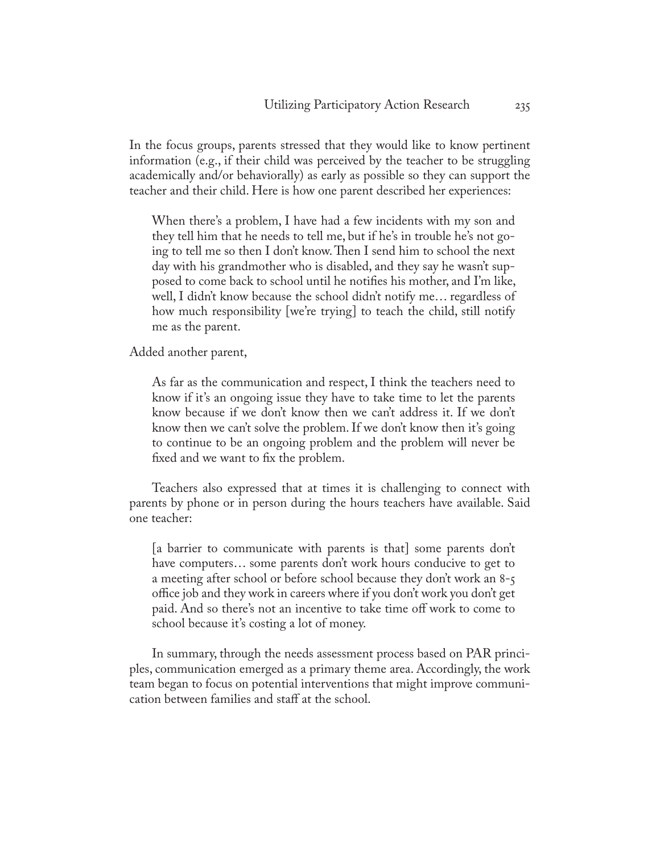In the focus groups, parents stressed that they would like to know pertinent information (e.g., if their child was perceived by the teacher to be struggling academically and/or behaviorally) as early as possible so they can support the teacher and their child. Here is how one parent described her experiences:

When there's a problem, I have had a few incidents with my son and they tell him that he needs to tell me, but if he's in trouble he's not going to tell me so then I don't know. Then I send him to school the next day with his grandmother who is disabled, and they say he wasn't supposed to come back to school until he notifies his mother, and I'm like, well, I didn't know because the school didn't notify me… regardless of how much responsibility [we're trying] to teach the child, still notify me as the parent.

Added another parent,

As far as the communication and respect, I think the teachers need to know if it's an ongoing issue they have to take time to let the parents know because if we don't know then we can't address it. If we don't know then we can't solve the problem. If we don't know then it's going to continue to be an ongoing problem and the problem will never be fixed and we want to fix the problem.

Teachers also expressed that at times it is challenging to connect with parents by phone or in person during the hours teachers have available. Said one teacher:

[a barrier to communicate with parents is that] some parents don't have computers… some parents don't work hours conducive to get to a meeting after school or before school because they don't work an 8-5 office job and they work in careers where if you don't work you don't get paid. And so there's not an incentive to take time off work to come to school because it's costing a lot of money.

In summary, through the needs assessment process based on PAR principles, communication emerged as a primary theme area. Accordingly, the work team began to focus on potential interventions that might improve communication between families and staff at the school.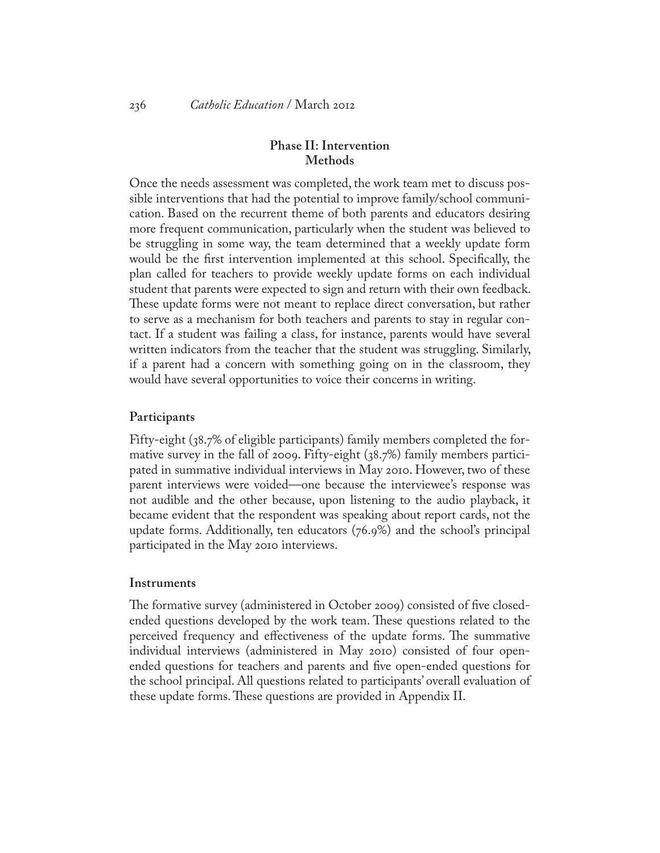## **Phase II: Intervention Methods**

Once the needs assessment was completed, the work team met to discuss possible interventions that had the potential to improve family/school communication. Based on the recurrent theme of both parents and educators desiring more frequent communication, particularly when the student was believed to be struggling in some way, the team determined that a weekly update form would be the first intervention implemented at this school. Specifically, the plan called for teachers to provide weekly update forms on each individual student that parents were expected to sign and return with their own feedback. These update forms were not meant to replace direct conversation, but rather to serve as a mechanism for both teachers and parents to stay in regular contact. If a student was failing a class, for instance, parents would have several written indicators from the teacher that the student was struggling. Similarly, if a parent had a concern with something going on in the classroom, they would have several opportunities to voice their concerns in writing.

#### **Participants**

Fifty-eight (38.7% of eligible participants) family members completed the formative survey in the fall of 2009. Fifty-eight (38.7%) family members participated in summative individual interviews in May 2010. However, two of these parent interviews were voided—one because the interviewee's response was not audible and the other because, upon listening to the audio playback, it became evident that the respondent was speaking about report cards, not the update forms. Additionally, ten educators (76.9%) and the school's principal participated in the May 2010 interviews.

#### **Instruments**

The formative survey (administered in October 2009) consisted of five closedended questions developed by the work team. These questions related to the perceived frequency and effectiveness of the update forms. The summative individual interviews (administered in May 2010) consisted of four openended questions for teachers and parents and five open-ended questions for the school principal. All questions related to participants' overall evaluation of these update forms. These questions are provided in Appendix II.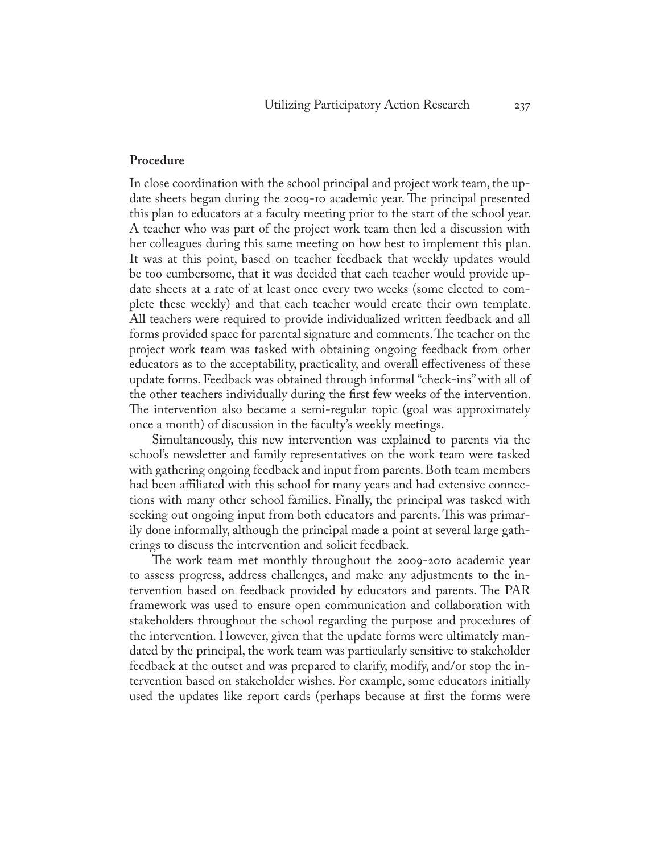#### **Procedure**

In close coordination with the school principal and project work team, the update sheets began during the 2009-10 academic year. The principal presented this plan to educators at a faculty meeting prior to the start of the school year. A teacher who was part of the project work team then led a discussion with her colleagues during this same meeting on how best to implement this plan. It was at this point, based on teacher feedback that weekly updates would be too cumbersome, that it was decided that each teacher would provide update sheets at a rate of at least once every two weeks (some elected to complete these weekly) and that each teacher would create their own template. All teachers were required to provide individualized written feedback and all forms provided space for parental signature and comments. The teacher on the project work team was tasked with obtaining ongoing feedback from other educators as to the acceptability, practicality, and overall effectiveness of these update forms. Feedback was obtained through informal "check-ins" with all of the other teachers individually during the first few weeks of the intervention. The intervention also became a semi-regular topic (goal was approximately once a month) of discussion in the faculty's weekly meetings.

Simultaneously, this new intervention was explained to parents via the school's newsletter and family representatives on the work team were tasked with gathering ongoing feedback and input from parents. Both team members had been affiliated with this school for many years and had extensive connections with many other school families. Finally, the principal was tasked with seeking out ongoing input from both educators and parents. This was primarily done informally, although the principal made a point at several large gatherings to discuss the intervention and solicit feedback.

The work team met monthly throughout the 2009-2010 academic year to assess progress, address challenges, and make any adjustments to the intervention based on feedback provided by educators and parents. The PAR framework was used to ensure open communication and collaboration with stakeholders throughout the school regarding the purpose and procedures of the intervention. However, given that the update forms were ultimately mandated by the principal, the work team was particularly sensitive to stakeholder feedback at the outset and was prepared to clarify, modify, and/or stop the intervention based on stakeholder wishes. For example, some educators initially used the updates like report cards (perhaps because at first the forms were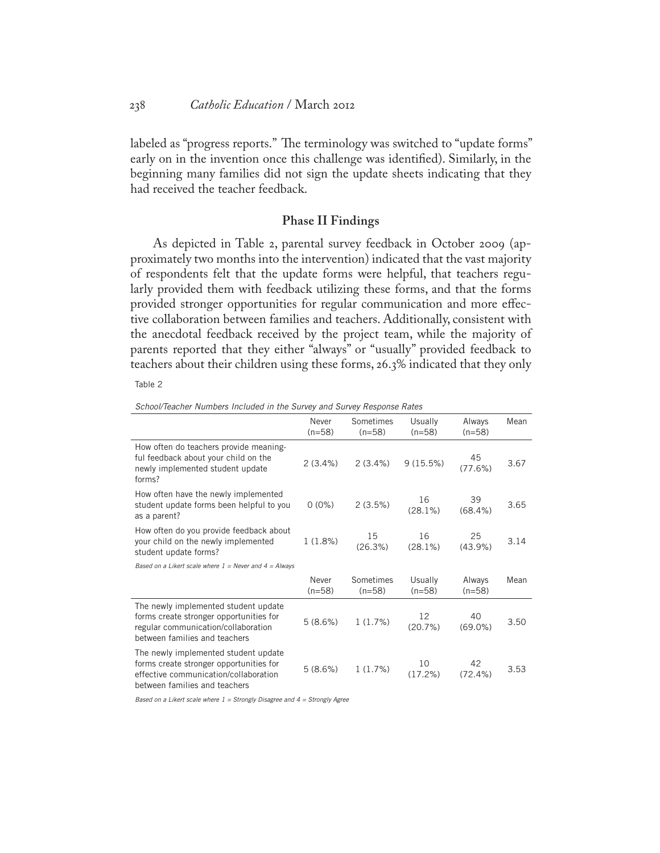labeled as "progress reports." The terminology was switched to "update forms" early on in the invention once this challenge was identified). Similarly, in the beginning many families did not sign the update sheets indicating that they had received the teacher feedback.

#### **Phase II Findings**

As depicted in Table 2, parental survey feedback in October 2009 (approximately two months into the intervention) indicated that the vast majority of respondents felt that the update forms were helpful, that teachers regularly provided them with feedback utilizing these forms, and that the forms provided stronger opportunities for regular communication and more effective collaboration between families and teachers. Additionally, consistent with the anecdotal feedback received by the project team, while the majority of parents reported that they either "always" or "usually" provided feedback to teachers about their children using these forms, 26.3% indicated that they only

Table 2

*School/Teacher Numbers Included in the Survey and Survey Response Rates*

|                                                                                                                                                           | Never<br>$(n=58)$ | Sometimes<br>$(n=58)$ | Usually<br>$(n=58)$ | Always<br>$(n=58)$ | Mean |
|-----------------------------------------------------------------------------------------------------------------------------------------------------------|-------------------|-----------------------|---------------------|--------------------|------|
| How often do teachers provide meaning-<br>ful feedback about your child on the<br>newly implemented student update<br>forms?                              | 2(3.4%)           | 2(3.4%)               | 9(15.5%)            | 45<br>(77.6%)      | 3.67 |
| How often have the newly implemented<br>student update forms been helpful to you<br>as a parent?                                                          | $0(0\%)$          | 2(3.5%)               | 16<br>(28.1%)       | 39<br>$(68.4\%)$   | 3.65 |
| How often do you provide feedback about<br>your child on the newly implemented<br>student update forms?                                                   | 1(1.8%)           | 15<br>(26.3%)         | 16<br>$(28.1\%)$    | 25<br>(43.9%)      | 3.14 |
| Based on a Likert scale where $1 =$ Never and $4 =$ Always                                                                                                |                   |                       |                     |                    |      |
|                                                                                                                                                           | Never<br>$(n=58)$ | Sometimes<br>$(n=58)$ | Usually<br>$(n=58)$ | Always<br>$(n=58)$ | Mean |
| The newly implemented student update<br>forms create stronger opportunities for<br>regular communication/collaboration<br>between families and teachers   | 5(8.6%)           | 1(1.7%)               | 12<br>(20.7%)       | 40<br>$(69.0\%)$   | 3.50 |
| The newly implemented student update<br>forms create stronger opportunities for<br>effective communication/collaboration<br>between families and teachers | 5(8.6%)           | 1(1.7%)               | 10<br>(17.2%)       | 42<br>(72.4%)      | 3.53 |

*Based on a Likert scale where 1 = Strongly Disagree and 4 = Strongly Agree*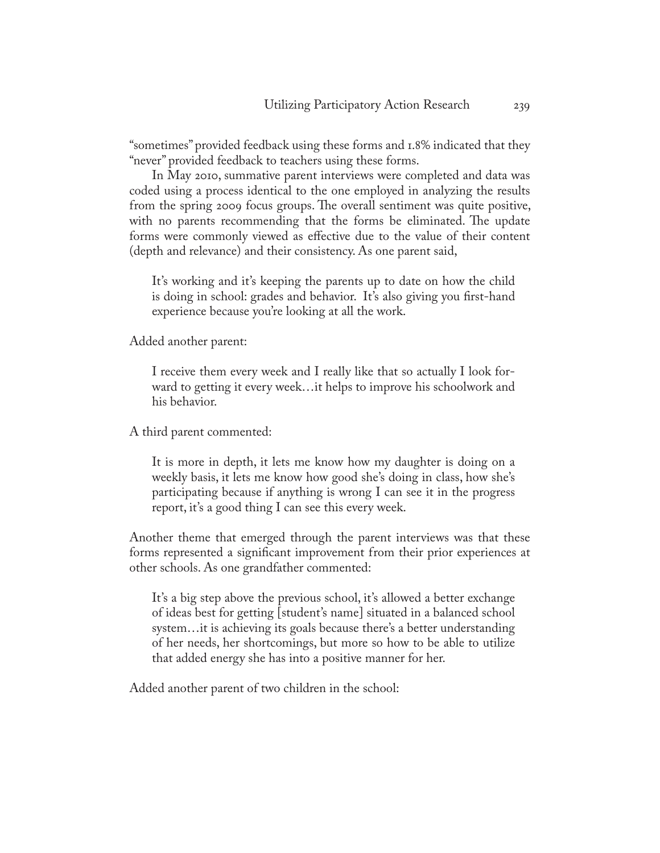"sometimes" provided feedback using these forms and 1.8% indicated that they "never" provided feedback to teachers using these forms.

In May 2010, summative parent interviews were completed and data was coded using a process identical to the one employed in analyzing the results from the spring 2009 focus groups. The overall sentiment was quite positive, with no parents recommending that the forms be eliminated. The update forms were commonly viewed as effective due to the value of their content (depth and relevance) and their consistency. As one parent said,

It's working and it's keeping the parents up to date on how the child is doing in school: grades and behavior. It's also giving you first-hand experience because you're looking at all the work.

Added another parent:

I receive them every week and I really like that so actually I look forward to getting it every week…it helps to improve his schoolwork and his behavior.

A third parent commented:

It is more in depth, it lets me know how my daughter is doing on a weekly basis, it lets me know how good she's doing in class, how she's participating because if anything is wrong I can see it in the progress report, it's a good thing I can see this every week.

Another theme that emerged through the parent interviews was that these forms represented a significant improvement from their prior experiences at other schools. As one grandfather commented:

It's a big step above the previous school, it's allowed a better exchange of ideas best for getting [student's name] situated in a balanced school system…it is achieving its goals because there's a better understanding of her needs, her shortcomings, but more so how to be able to utilize that added energy she has into a positive manner for her.

Added another parent of two children in the school: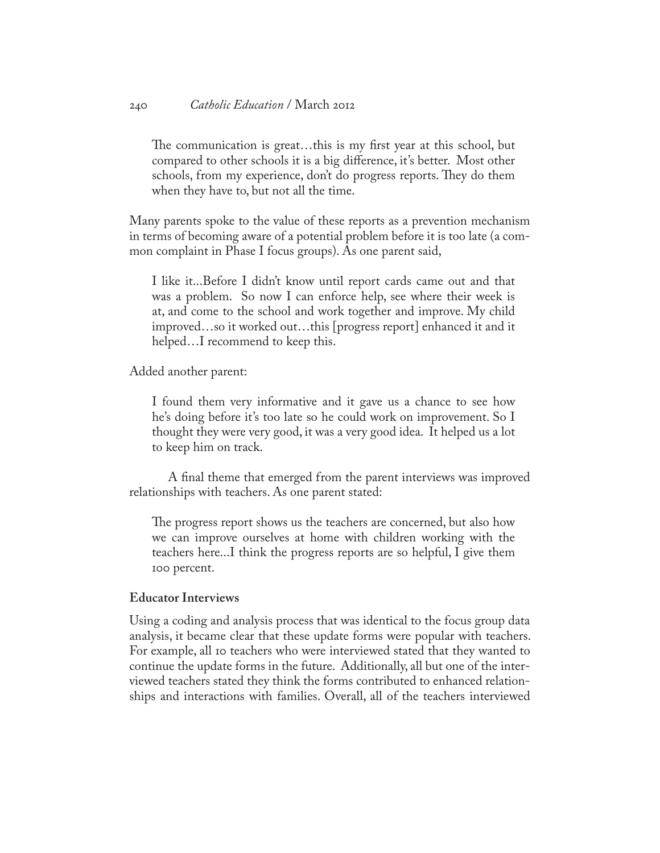#### 240 *Catholic Education* / March 2012

The communication is great…this is my first year at this school, but compared to other schools it is a big difference, it's better. Most other schools, from my experience, don't do progress reports. They do them when they have to, but not all the time.

Many parents spoke to the value of these reports as a prevention mechanism in terms of becoming aware of a potential problem before it is too late (a common complaint in Phase I focus groups). As one parent said,

I like it...Before I didn't know until report cards came out and that was a problem. So now I can enforce help, see where their week is at, and come to the school and work together and improve. My child improved…so it worked out…this [progress report] enhanced it and it helped…I recommend to keep this.

Added another parent:

I found them very informative and it gave us a chance to see how he's doing before it's too late so he could work on improvement. So I thought they were very good, it was a very good idea. It helped us a lot to keep him on track.

A final theme that emerged from the parent interviews was improved relationships with teachers. As one parent stated:

The progress report shows us the teachers are concerned, but also how we can improve ourselves at home with children working with the teachers here...I think the progress reports are so helpful, I give them 100 percent.

## **Educator Interviews**

Using a coding and analysis process that was identical to the focus group data analysis, it became clear that these update forms were popular with teachers. For example, all 10 teachers who were interviewed stated that they wanted to continue the update forms in the future. Additionally, all but one of the interviewed teachers stated they think the forms contributed to enhanced relationships and interactions with families. Overall, all of the teachers interviewed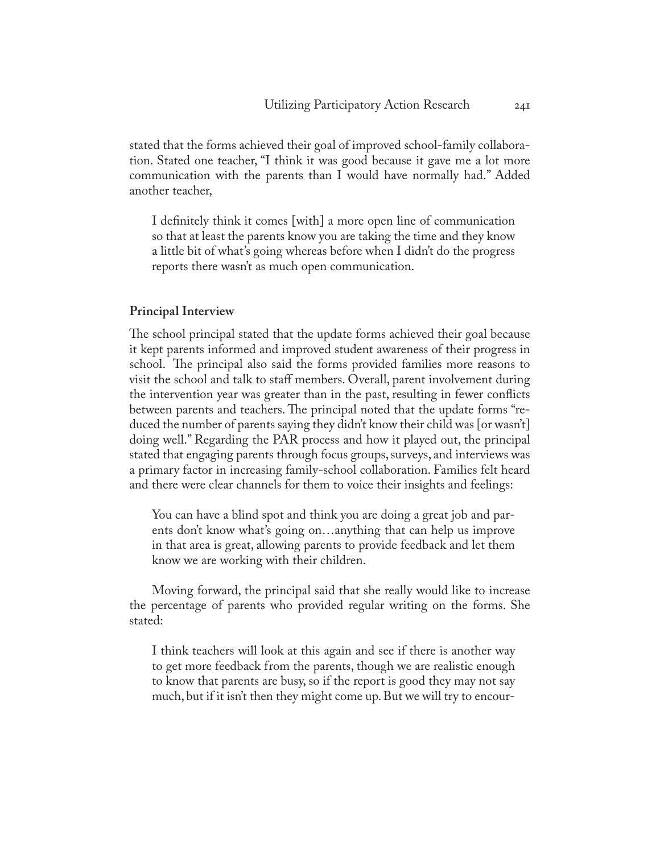stated that the forms achieved their goal of improved school-family collaboration. Stated one teacher, "I think it was good because it gave me a lot more communication with the parents than I would have normally had." Added another teacher,

I definitely think it comes [with] a more open line of communication so that at least the parents know you are taking the time and they know a little bit of what's going whereas before when I didn't do the progress reports there wasn't as much open communication.

#### **Principal Interview**

The school principal stated that the update forms achieved their goal because it kept parents informed and improved student awareness of their progress in school. The principal also said the forms provided families more reasons to visit the school and talk to staff members. Overall, parent involvement during the intervention year was greater than in the past, resulting in fewer conflicts between parents and teachers. The principal noted that the update forms "reduced the number of parents saying they didn't know their child was [or wasn't] doing well." Regarding the PAR process and how it played out, the principal stated that engaging parents through focus groups, surveys, and interviews was a primary factor in increasing family-school collaboration. Families felt heard and there were clear channels for them to voice their insights and feelings:

You can have a blind spot and think you are doing a great job and parents don't know what's going on…anything that can help us improve in that area is great, allowing parents to provide feedback and let them know we are working with their children.

Moving forward, the principal said that she really would like to increase the percentage of parents who provided regular writing on the forms. She stated:

I think teachers will look at this again and see if there is another way to get more feedback from the parents, though we are realistic enough to know that parents are busy, so if the report is good they may not say much, but if it isn't then they might come up. But we will try to encour-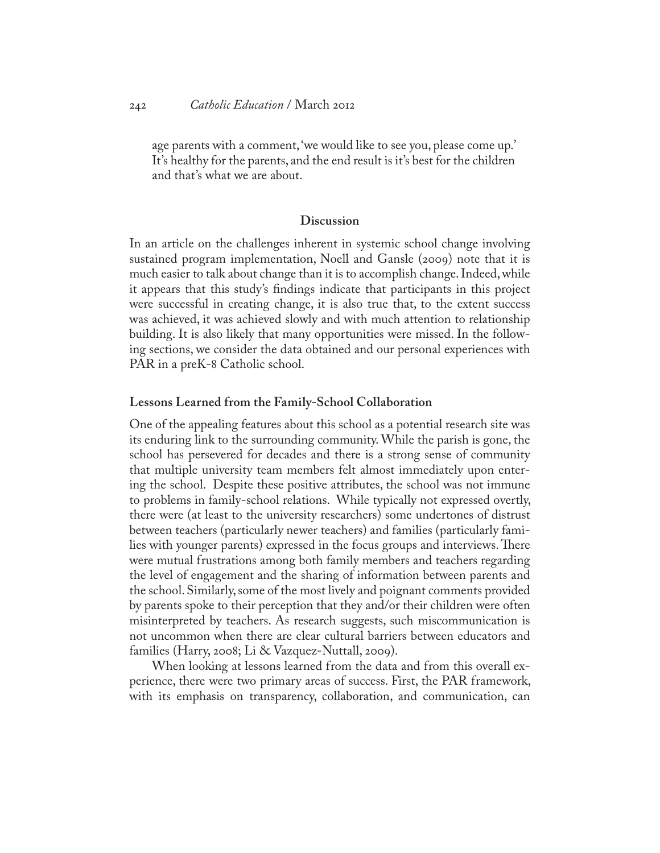age parents with a comment, 'we would like to see you, please come up.' It's healthy for the parents, and the end result is it's best for the children and that's what we are about.

#### **Discussion**

In an article on the challenges inherent in systemic school change involving sustained program implementation, Noell and Gansle (2009) note that it is much easier to talk about change than it is to accomplish change. Indeed, while it appears that this study's findings indicate that participants in this project were successful in creating change, it is also true that, to the extent success was achieved, it was achieved slowly and with much attention to relationship building. It is also likely that many opportunities were missed. In the following sections, we consider the data obtained and our personal experiences with PAR in a preK-8 Catholic school.

#### **Lessons Learned from the Family-School Collaboration**

One of the appealing features about this school as a potential research site was its enduring link to the surrounding community. While the parish is gone, the school has persevered for decades and there is a strong sense of community that multiple university team members felt almost immediately upon entering the school. Despite these positive attributes, the school was not immune to problems in family-school relations. While typically not expressed overtly, there were (at least to the university researchers) some undertones of distrust between teachers (particularly newer teachers) and families (particularly families with younger parents) expressed in the focus groups and interviews. There were mutual frustrations among both family members and teachers regarding the level of engagement and the sharing of information between parents and the school. Similarly, some of the most lively and poignant comments provided by parents spoke to their perception that they and/or their children were often misinterpreted by teachers. As research suggests, such miscommunication is not uncommon when there are clear cultural barriers between educators and families (Harry, 2008; Li & Vazquez-Nuttall, 2009).

When looking at lessons learned from the data and from this overall experience, there were two primary areas of success. First, the PAR framework, with its emphasis on transparency, collaboration, and communication, can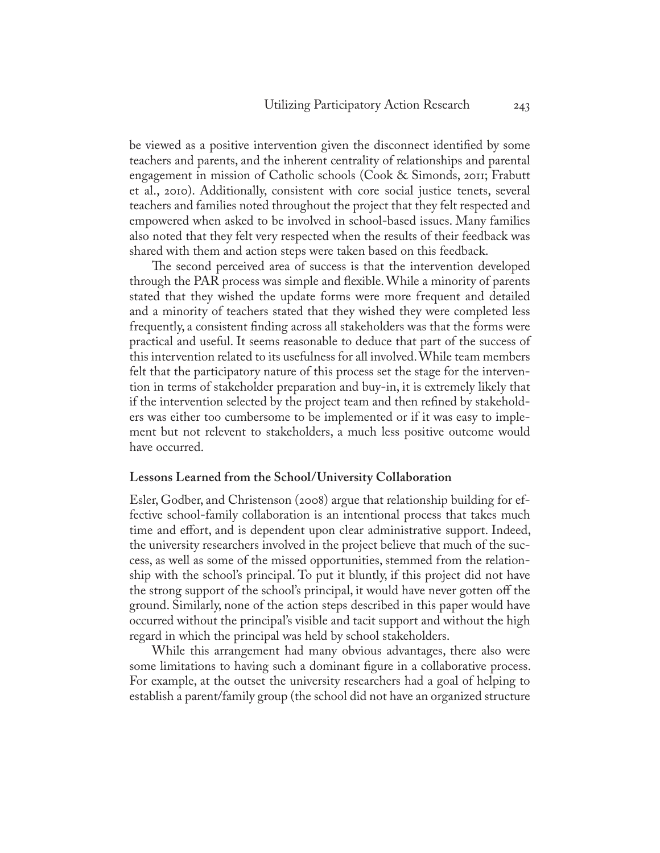be viewed as a positive intervention given the disconnect identified by some teachers and parents, and the inherent centrality of relationships and parental engagement in mission of Catholic schools (Cook & Simonds, 2011; Frabutt et al., 2010). Additionally, consistent with core social justice tenets, several teachers and families noted throughout the project that they felt respected and empowered when asked to be involved in school-based issues. Many families also noted that they felt very respected when the results of their feedback was shared with them and action steps were taken based on this feedback.

The second perceived area of success is that the intervention developed through the PAR process was simple and flexible. While a minority of parents stated that they wished the update forms were more frequent and detailed and a minority of teachers stated that they wished they were completed less frequently, a consistent finding across all stakeholders was that the forms were practical and useful. It seems reasonable to deduce that part of the success of this intervention related to its usefulness for all involved. While team members felt that the participatory nature of this process set the stage for the intervention in terms of stakeholder preparation and buy-in, it is extremely likely that if the intervention selected by the project team and then refined by stakeholders was either too cumbersome to be implemented or if it was easy to implement but not relevent to stakeholders, a much less positive outcome would have occurred.

#### **Lessons Learned from the School/University Collaboration**

Esler, Godber, and Christenson (2008) argue that relationship building for effective school-family collaboration is an intentional process that takes much time and effort, and is dependent upon clear administrative support. Indeed, the university researchers involved in the project believe that much of the success, as well as some of the missed opportunities, stemmed from the relationship with the school's principal. To put it bluntly, if this project did not have the strong support of the school's principal, it would have never gotten off the ground. Similarly, none of the action steps described in this paper would have occurred without the principal's visible and tacit support and without the high regard in which the principal was held by school stakeholders.

While this arrangement had many obvious advantages, there also were some limitations to having such a dominant figure in a collaborative process. For example, at the outset the university researchers had a goal of helping to establish a parent/family group (the school did not have an organized structure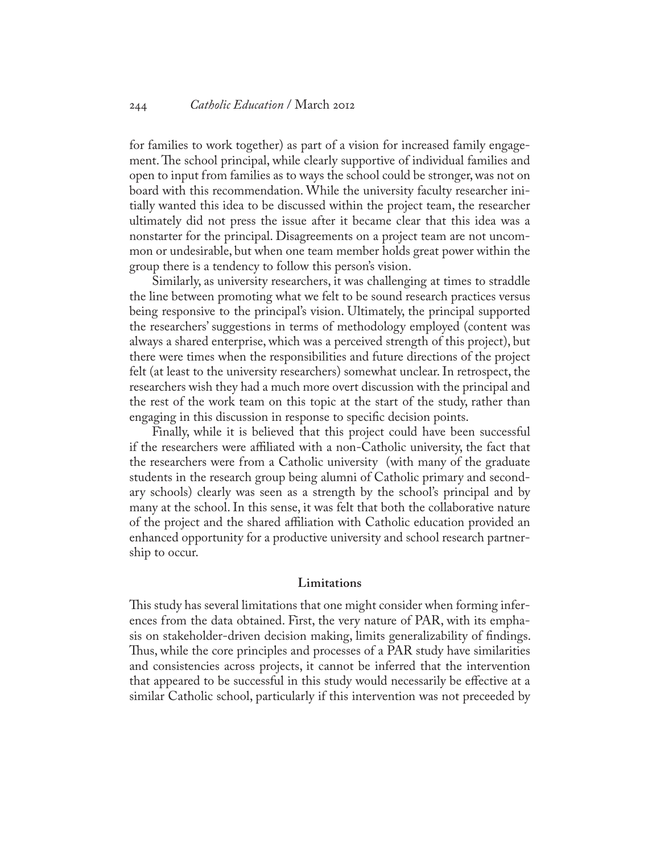#### 244 *Catholic Education* / March 2012

for families to work together) as part of a vision for increased family engagement. The school principal, while clearly supportive of individual families and open to input from families as to ways the school could be stronger, was not on board with this recommendation. While the university faculty researcher initially wanted this idea to be discussed within the project team, the researcher ultimately did not press the issue after it became clear that this idea was a nonstarter for the principal. Disagreements on a project team are not uncommon or undesirable, but when one team member holds great power within the group there is a tendency to follow this person's vision.

Similarly, as university researchers, it was challenging at times to straddle the line between promoting what we felt to be sound research practices versus being responsive to the principal's vision. Ultimately, the principal supported the researchers' suggestions in terms of methodology employed (content was always a shared enterprise, which was a perceived strength of this project), but there were times when the responsibilities and future directions of the project felt (at least to the university researchers) somewhat unclear. In retrospect, the researchers wish they had a much more overt discussion with the principal and the rest of the work team on this topic at the start of the study, rather than engaging in this discussion in response to specific decision points.

Finally, while it is believed that this project could have been successful if the researchers were affiliated with a non-Catholic university, the fact that the researchers were from a Catholic university (with many of the graduate students in the research group being alumni of Catholic primary and secondary schools) clearly was seen as a strength by the school's principal and by many at the school. In this sense, it was felt that both the collaborative nature of the project and the shared affiliation with Catholic education provided an enhanced opportunity for a productive university and school research partnership to occur.

#### **Limitations**

This study has several limitations that one might consider when forming inferences from the data obtained. First, the very nature of PAR, with its emphasis on stakeholder-driven decision making, limits generalizability of findings. Thus, while the core principles and processes of a PAR study have similarities and consistencies across projects, it cannot be inferred that the intervention that appeared to be successful in this study would necessarily be effective at a similar Catholic school, particularly if this intervention was not preceeded by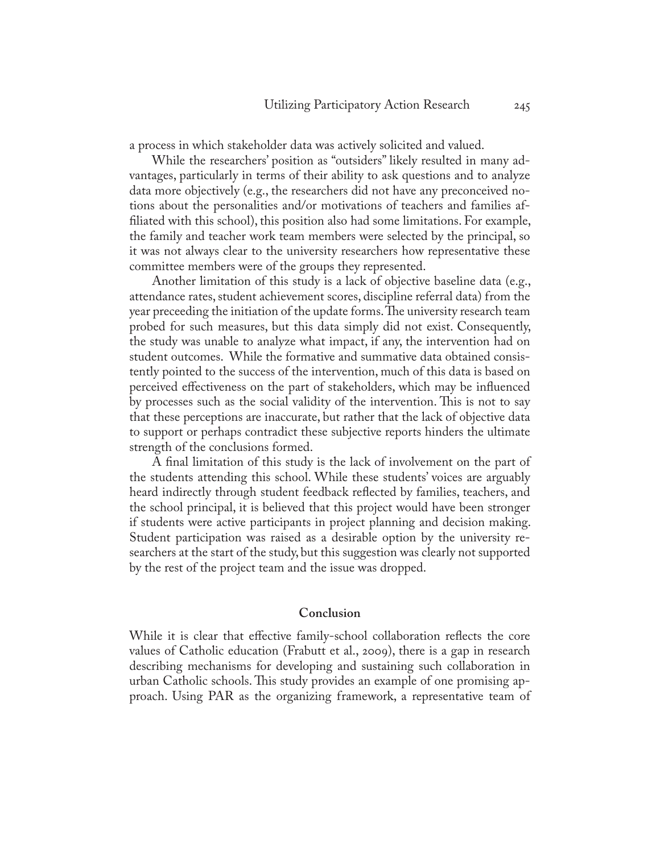a process in which stakeholder data was actively solicited and valued.

While the researchers' position as "outsiders" likely resulted in many advantages, particularly in terms of their ability to ask questions and to analyze data more objectively (e.g., the researchers did not have any preconceived notions about the personalities and/or motivations of teachers and families affiliated with this school), this position also had some limitations. For example, the family and teacher work team members were selected by the principal, so it was not always clear to the university researchers how representative these committee members were of the groups they represented.

Another limitation of this study is a lack of objective baseline data (e.g., attendance rates, student achievement scores, discipline referral data) from the year preceeding the initiation of the update forms. The university research team probed for such measures, but this data simply did not exist. Consequently, the study was unable to analyze what impact, if any, the intervention had on student outcomes. While the formative and summative data obtained consistently pointed to the success of the intervention, much of this data is based on perceived effectiveness on the part of stakeholders, which may be influenced by processes such as the social validity of the intervention. This is not to say that these perceptions are inaccurate, but rather that the lack of objective data to support or perhaps contradict these subjective reports hinders the ultimate strength of the conclusions formed.

A final limitation of this study is the lack of involvement on the part of the students attending this school. While these students' voices are arguably heard indirectly through student feedback reflected by families, teachers, and the school principal, it is believed that this project would have been stronger if students were active participants in project planning and decision making. Student participation was raised as a desirable option by the university researchers at the start of the study, but this suggestion was clearly not supported by the rest of the project team and the issue was dropped.

#### **Conclusion**

While it is clear that effective family-school collaboration reflects the core values of Catholic education (Frabutt et al., 2009), there is a gap in research describing mechanisms for developing and sustaining such collaboration in urban Catholic schools. This study provides an example of one promising approach. Using PAR as the organizing framework, a representative team of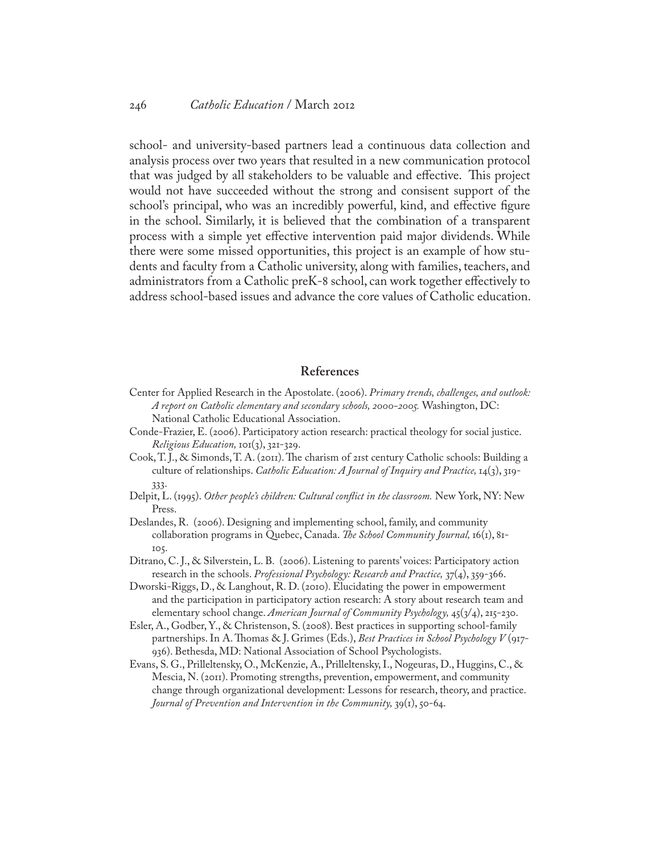school- and university-based partners lead a continuous data collection and analysis process over two years that resulted in a new communication protocol that was judged by all stakeholders to be valuable and effective. This project would not have succeeded without the strong and consisent support of the school's principal, who was an incredibly powerful, kind, and effective figure in the school. Similarly, it is believed that the combination of a transparent process with a simple yet effective intervention paid major dividends. While there were some missed opportunities, this project is an example of how students and faculty from a Catholic university, along with families, teachers, and administrators from a Catholic preK-8 school, can work together effectively to address school-based issues and advance the core values of Catholic education.

#### **References**

- Center for Applied Research in the Apostolate. (2006). *Primary trends, challenges, and outlook: A report on Catholic elementary and secondary schools, 2000-2005.* Washington, DC: National Catholic Educational Association.
- Conde-Frazier, E. (2006). Participatory action research: practical theology for social justice. *Religious Education,* 101(3), 321-329.
- Cook, T. J., & Simonds, T. A. (2011). The charism of 21st century Catholic schools: Building a culture of relationships. *Catholic Education: A Journal of Inquiry and Practice,* 14(3), 319- 333.
- Delpit, L. (1995). *Other people's children: Cultural conflict in the classroom.* New York, NY: New Press.
- Deslandes, R. (2006). Designing and implementing school, family, and community collaboration programs in Quebec, Canada. *The School Community Journal,* 16(1), 81- 105.
- Ditrano, C. J., & Silverstein, L. B. (2006). Listening to parents' voices: Participatory action research in the schools. *Professional Psychology: Research and Practice,* 37(4), 359-366.
- Dworski-Riggs, D., & Langhout, R. D. (2010). Elucidating the power in empowerment and the participation in participatory action research: A story about research team and elementary school change. *American Journal of Community Psychology,* 45(3/4), 215-230.
- Esler, A., Godber, Y., & Christenson, S. (2008). Best practices in supporting school-family partnerships. In A. Thomas & J. Grimes (Eds.), *Best Practices in School Psychology V* (917- 936). Bethesda, MD: National Association of School Psychologists.
- Evans, S. G., Prilleltensky, O., McKenzie, A., Prilleltensky, I., Nogeuras, D., Huggins, C., & Mescia, N. (2011). Promoting strengths, prevention, empowerment, and community change through organizational development: Lessons for research, theory, and practice. *Journal of Prevention and Intervention in the Community,* 39(1), 50-64.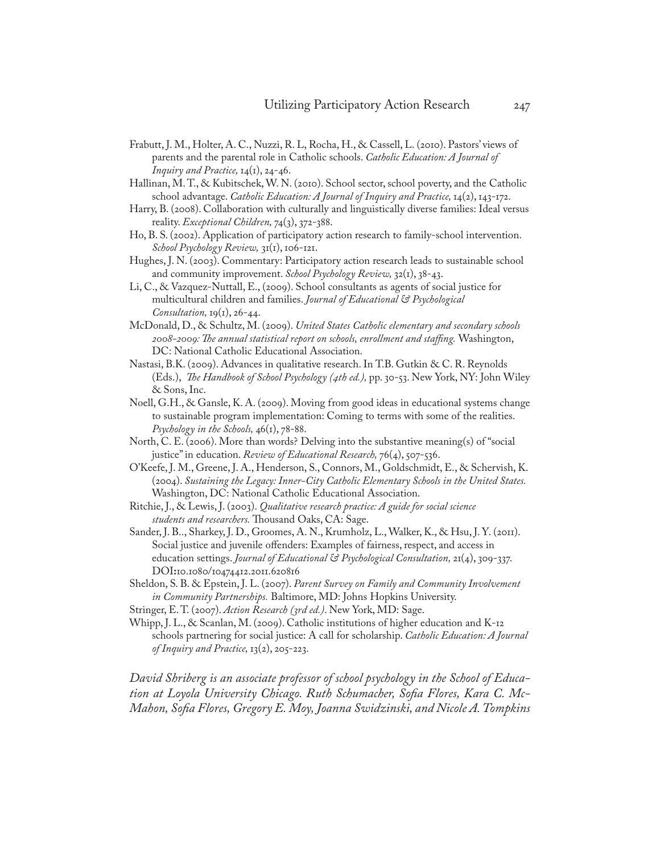- Frabutt, J. M., Holter, A. C., Nuzzi, R. L, Rocha, H., & Cassell, L. (2010). Pastors' views of parents and the parental role in Catholic schools. *Catholic Education: A Journal of Inquiry and Practice,* 14(1), 24-46.
- Hallinan, M. T., & Kubitschek, W. N. (2010). School sector, school poverty, and the Catholic school advantage. *Catholic Education: A Journal of Inquiry and Practice*, 14(2), 143-172.
- Harry, B. (2008). Collaboration with culturally and linguistically diverse families: Ideal versus reality. *Exceptional Children,* 74(3), 372-388.
- Ho, B. S. (2002). Application of participatory action research to family-school intervention. *School Psychology Review,* 31(1), 106-121.
- Hughes, J. N. (2003). Commentary: Participatory action research leads to sustainable school and community improvement. *School Psychology Review,* 32(1), 38-43.
- Li, C., & Vazquez-Nuttall, E., (2009). School consultants as agents of social justice for multicultural children and families. *Journal of Educational & Psychological Consultation,* 19(1), 26-44.
- McDonald, D., & Schultz, M. (2009). *United States Catholic elementary and secondary schools 2008-2009: The annual statistical report on schools, enrollment and staffing.* Washington, DC: National Catholic Educational Association.
- Nastasi, B.K. (2009). Advances in qualitative research. In T.B. Gutkin & C. R. Reynolds (Eds.), *The Handbook of School Psychology (4th ed.),* pp. 30-53. New York, NY: John Wiley & Sons, Inc.
- Noell, G.H., & Gansle, K. A. (2009). Moving from good ideas in educational systems change to sustainable program implementation: Coming to terms with some of the realities. *Psychology in the Schools,* 46(1), 78-88.
- North, C. E. (2006). More than words? Delving into the substantive meaning(s) of "social justice" in education. *Review of Educational Research*,  $76(4)$ , 507-536.
- O'Keefe, J. M., Greene, J. A., Henderson, S., Connors, M., Goldschmidt, E., & Schervish, K. (2004). *Sustaining the Legacy: Inner-City Catholic Elementary Schools in the United States.* Washington, DC: National Catholic Educational Association.
- Ritchie, J., & Lewis, J. (2003). *Qualitative research practice: A guide for social science students and researchers.* Thousand Oaks, CA: Sage.
- Sander, J. B.., Sharkey, J. D., Groomes, A. N., Krumholz, L., Walker, K., & Hsu, J. Y. (2011). Social justice and juvenile offenders: Examples of fairness, respect, and access in education settings. *Journal of Educational & Psychological Consultation,* 21(4), 309-337. DOI**:**10.1080/10474412.2011.620816
- Sheldon, S. B. & Epstein, J. L. (2007). *Parent Survey on Family and Community Involvement in Community Partnerships.* Baltimore, MD: Johns Hopkins University.
- Stringer, E. T. (2007). *Action Research (3rd ed.)*. New York, MD: Sage.
- Whipp, J. L., & Scanlan, M. (2009). Catholic institutions of higher education and K-12 schools partnering for social justice: A call for scholarship. *Catholic Education: A Journal of Inquiry and Practice,* 13(2), 205-223.

*David Shriberg is an associate professor of school psychology in the School of Education at Loyola University Chicago. Ruth Schumacher, Sofia Flores, Kara C. Mc-Mahon, Sofia Flores, Gregory E. Moy, Joanna Swidzinski, and Nicole A. Tompkins*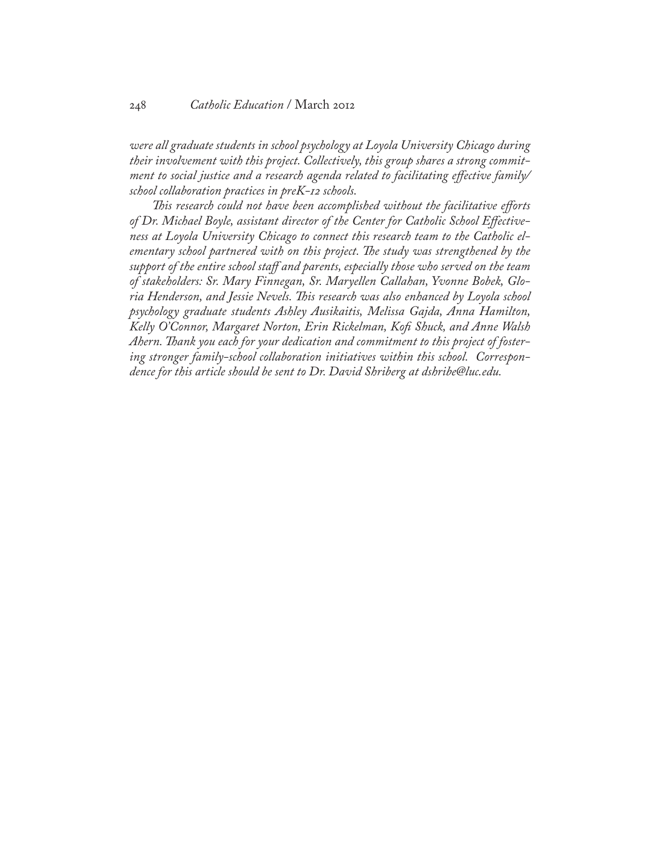*were all graduate students in school psychology at Loyola University Chicago during their involvement with this project. Collectively, this group shares a strong commitment to social justice and a research agenda related to facilitating effective family/ school collaboration practices in preK-12 schools.* 

*This research could not have been accomplished without the facilitative efforts of Dr. Michael Boyle, assistant director of the Center for Catholic School Effectiveness at Loyola University Chicago to connect this research team to the Catholic elementary school partnered with on this project. The study was strengthened by the support of the entire school staff and parents, especially those who served on the team of stakeholders: Sr. Mary Finnegan, Sr. Maryellen Callahan, Yvonne Bobek, Gloria Henderson, and Jessie Nevels. This research was also enhanced by Loyola school psychology graduate students Ashley Ausikaitis, Melissa Gajda, Anna Hamilton, Kelly O'Connor, Margaret Norton, Erin Rickelman, Kofi Shuck, and Anne Walsh Ahern. Thank you each for your dedication and commitment to this project of fostering stronger family-school collaboration initiatives within this school. Correspondence for this article should be sent to Dr. David Shriberg at dshribe@luc.edu.*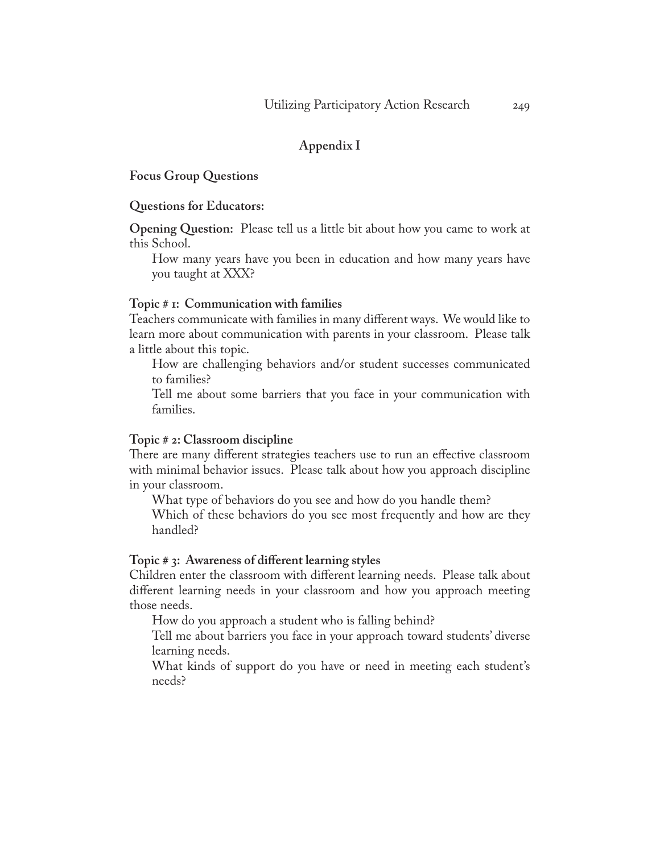### **Appendix I**

**Focus Group Questions**

#### **Questions for Educators:**

**Opening Question:** Please tell us a little bit about how you came to work at this School.

How many years have you been in education and how many years have you taught at XXX?

#### **Topic # 1: Communication with families**

Teachers communicate with families in many different ways. We would like to learn more about communication with parents in your classroom. Please talk a little about this topic.

How are challenging behaviors and/or student successes communicated to families?

Tell me about some barriers that you face in your communication with families.

#### **Topic # 2: Classroom discipline**

There are many different strategies teachers use to run an effective classroom with minimal behavior issues. Please talk about how you approach discipline in your classroom.

What type of behaviors do you see and how do you handle them? Which of these behaviors do you see most frequently and how are they handled?

#### **Topic # 3: Awareness of different learning styles**

Children enter the classroom with different learning needs. Please talk about different learning needs in your classroom and how you approach meeting those needs.

How do you approach a student who is falling behind?

Tell me about barriers you face in your approach toward students' diverse learning needs.

What kinds of support do you have or need in meeting each student's needs?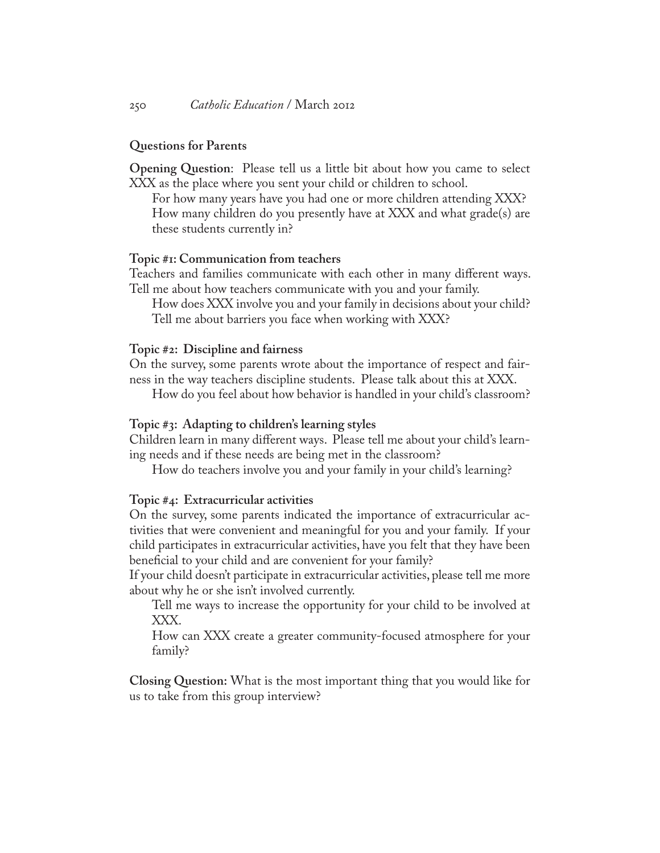#### **Questions for Parents**

**Opening Question**: Please tell us a little bit about how you came to select XXX as the place where you sent your child or children to school.

For how many years have you had one or more children attending XXX? How many children do you presently have at XXX and what grade(s) are these students currently in?

#### **Topic #1: Communication from teachers**

Teachers and families communicate with each other in many different ways. Tell me about how teachers communicate with you and your family.

How does XXX involve you and your family in decisions about your child? Tell me about barriers you face when working with XXX?

#### **Topic #2: Discipline and fairness**

On the survey, some parents wrote about the importance of respect and fairness in the way teachers discipline students. Please talk about this at XXX.

How do you feel about how behavior is handled in your child's classroom?

#### **Topic #3: Adapting to children's learning styles**

Children learn in many different ways. Please tell me about your child's learning needs and if these needs are being met in the classroom?

How do teachers involve you and your family in your child's learning?

#### **Topic #4: Extracurricular activities**

On the survey, some parents indicated the importance of extracurricular activities that were convenient and meaningful for you and your family. If your child participates in extracurricular activities, have you felt that they have been beneficial to your child and are convenient for your family?

If your child doesn't participate in extracurricular activities, please tell me more about why he or she isn't involved currently.

Tell me ways to increase the opportunity for your child to be involved at XXX.

How can XXX create a greater community-focused atmosphere for your family?

**Closing Question:** What is the most important thing that you would like for us to take from this group interview?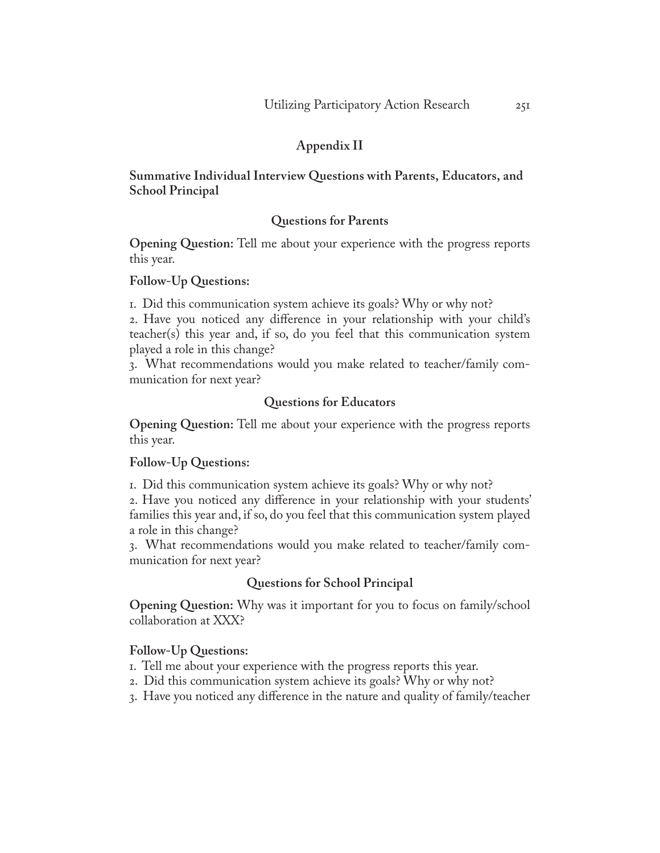## **Appendix II**

## **Summative Individual Interview Questions with Parents, Educators, and School Principal**

## **Questions for Parents**

**Opening Question:** Tell me about your experience with the progress reports this year.

## **Follow-Up Questions:**

1. Did this communication system achieve its goals? Why or why not?

2. Have you noticed any difference in your relationship with your child's teacher(s) this year and, if so, do you feel that this communication system played a role in this change?

3. What recommendations would you make related to teacher/family communication for next year?

## **Questions for Educators**

**Opening Question:** Tell me about your experience with the progress reports this year.

### **Follow-Up Questions:**

1. Did this communication system achieve its goals? Why or why not?

2. Have you noticed any difference in your relationship with your students' families this year and, if so, do you feel that this communication system played a role in this change?

3. What recommendations would you make related to teacher/family communication for next year?

## **Questions for School Principal**

**Opening Question:** Why was it important for you to focus on family/school collaboration at XXX?

### **Follow-Up Questions:**

- 1. Tell me about your experience with the progress reports this year.
- 2. Did this communication system achieve its goals? Why or why not?
- 3. Have you noticed any difference in the nature and quality of family/teacher